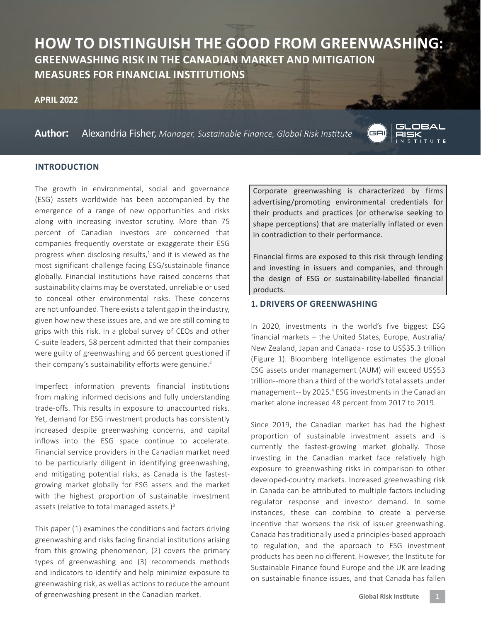# **HOW TO DISTINGUISH THE GOOD FROM GREENWASHING: GREENWASHING RISK IN THE CANADIAN MARKET AND MITIGATION MEASURES FOR FINANCIAL INSTITUTIONS**

#### **APRIL 2022**

**Author:** Alexandria Fisher, *Manager, Sustainable Finance, Global Risk Institute*



## **INTRODUCTION**

The growth in environmental, social and governance (ESG) assets worldwide has been accompanied by the emergence of a range of new opportunities and risks along with increasing investor scrutiny. More than 75 percent of Canadian investors are concerned that companies frequently overstate or exaggerate their ESG progress when disclosing results, $1$  and it is viewed as the most significant challenge facing ESG/sustainable finance globally. Financial institutions have raised concerns that sustainability claims may be overstated, unreliable or used to conceal other environmental risks. These concerns are not unfounded. There exists a talent gap in the industry, given how new these issues are, and we are still coming to grips with this risk. In a global survey of CEOs and other C-suite leaders, 58 percent admitted that their companies were guilty of greenwashing and 66 percent questioned if their company's sustainability efforts were genuine.<sup>2</sup>

Imperfect information prevents financial institutions from making informed decisions and fully understanding trade-offs. This results in exposure to unaccounted risks. Yet, demand for ESG investment products has consistently increased despite greenwashing concerns, and capital inflows into the ESG space continue to accelerate. Financial service providers in the Canadian market need to be particularly diligent in identifying greenwashing, and mitigating potential risks, as Canada is the fastestgrowing market globally for ESG assets and the market with the highest proportion of sustainable investment assets (relative to total managed assets.) $3$ 

This paper (1) examines the conditions and factors driving greenwashing and risks facing financial institutions arising from this growing phenomenon, (2) covers the primary types of greenwashing and (3) recommends methods and indicators to identify and help minimize exposure to greenwashing risk, as well as actions to reduce the amount of greenwashing present in the Canadian market.

Corporate greenwashing is characterized by firms advertising/promoting environmental credentials for their products and practices (or otherwise seeking to shape perceptions) that are materially inflated or even in contradiction to their performance.

Financial firms are exposed to this risk through lending and investing in issuers and companies, and through the design of ESG or sustainability-labelled financial products.

## **1. DRIVERS OF GREENWASHING**

In 2020, investments in the world's five biggest ESG financial markets – the United States, Europe, Australia/ New Zealand, Japan and Canada - rose to US\$35.3 trillion (Figure 1). Bloomberg Intelligence estimates the global ESG assets under management (AUM) will exceed US\$53 trillion --more than a third of the world's total assets under management-- by 2025.<sup>4</sup> ESG investments in the Canadian market alone increased 48 percent from 2017 to 2019.

Since 2019, the Canadian market has had the highest proportion of sustainable investment assets and is currently the fastest-growing market globally. Those investing in the Canadian market face relatively high exposure to greenwashing risks in comparison to other developed-country markets. Increased greenwashing risk in Canada can be attributed to multiple factors including regulator response and investor demand. In some instances, these can combine to create a perverse incentive that worsens the risk of issuer greenwashing. Canada has traditionally used a principles-based approach to regulation, and the approach to ESG investment products has been no different. However, the Institute for Sustainable Finance found Europe and the UK are leading on sustainable finance issues, and that Canada has fallen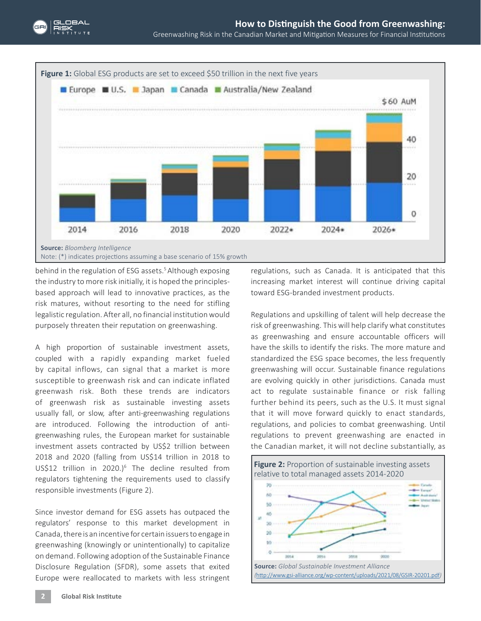

behind in the regulation of ESG assets.<sup>5</sup> Although exposing the industry to more risk initially, it is hoped the principlesbased approach will lead to innovative practices, as the risk matures, without resorting to the need for stifling legalistic regulation. After all, no financial institution would purposely threaten their reputation on greenwashing.

A high proportion of sustainable investment assets, coupled with a rapidly expanding market fueled by capital inflows, can signal that a market is more susceptible to greenwash risk and can indicate inflated greenwash risk. Both these trends are indicators of greenwash risk as sustainable investing assets usually fall, or slow, after anti-greenwashing regulations are introduced. Following the introduction of antigreenwashing rules, the European market for sustainable investment assets contracted by US\$2 trillion between 2018 and 2020 (falling from US\$14 trillion in 2018 to US\$12 trillion in 2020.) $^6$  The decline resulted from regulators tightening the requirements used to classify responsible investments (Figure 2).

Since investor demand for ESG assets has outpaced the regulators' response to this market development in Canada, there is an incentive for certain issuers to engage in greenwashing (knowingly or unintentionally) to capitalize on demand. Following adoption of the Sustainable Finance Disclosure Regulation (SFDR), some assets that exited Europe were reallocated to markets with less stringent regulations, such as Canada. It is anticipated that this increasing market interest will continue driving capital toward ESG-branded investment products.

Regulations and upskilling of talent will help decrease the risk of greenwashing. This will help clarify what constitutes as greenwashing and ensure accountable officers will have the skills to identify the risks. The more mature and standardized the ESG space becomes, the less frequently greenwashing will occur. Sustainable finance regulations are evolving quickly in other jurisdictions. Canada must act to regulate sustainable finance or risk falling further behind its peers, such as the U.S. It must signal that it will move forward quickly to enact standards, regulations, and policies to combat greenwashing. Until regulations to prevent greenwashing are enacted in the Canadian market, it will not decline substantially, as

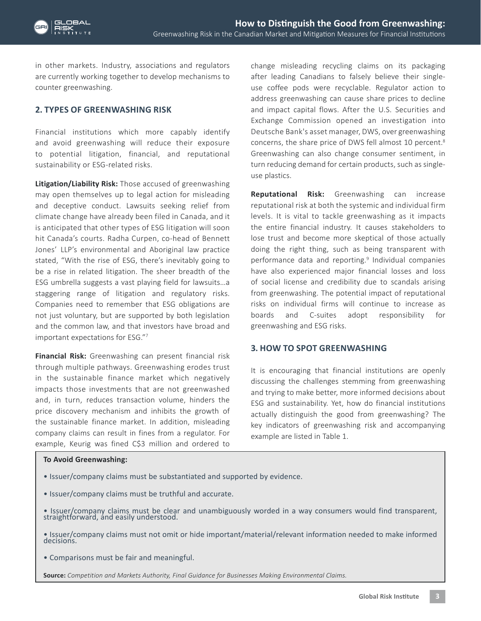in other markets. Industry, associations and regulators are currently working together to develop mechanisms to counter greenwashing.

## **2. TYPES OF GREENWASHING RISK**

Financial institutions which more capably identify and avoid greenwashing will reduce their exposure to potential litigation, financial, and reputational sustainability or ESG-related risks.

**Litigation/Liability Risk:** Those accused of greenwashing may open themselves up to legal action for misleading and deceptive conduct. Lawsuits seeking relief from climate change have already been filed in Canada, and it is anticipated that other types of ESG litigation will soon hit Canada's courts. Radha Curpen, co-head of Bennett Jones' LLP's environmental and Aboriginal law practice stated, "With the rise of ESG, there's inevitably going to be a rise in related litigation. The sheer breadth of the ESG umbrella suggests a vast playing field for lawsuits…a staggering range of litigation and regulatory risks. Companies need to remember that ESG obligations are not just voluntary, but are supported by both legislation and the common law, and that investors have broad and important expectations for ESG."7

**Financial Risk:** Greenwashing can present financial risk through multiple pathways. Greenwashing erodes trust in the sustainable finance market which negatively impacts those investments that are not greenwashed and, in turn, reduces transaction volume, hinders the price discovery mechanism and inhibits the growth of the sustainable finance market. In addition, misleading company claims can result in fines from a regulator. For example, Keurig was fined C\$3 million and ordered to change misleading recycling claims on its packaging after leading Canadians to falsely believe their singleuse coffee pods were recyclable. Regulator action to address greenwashing can cause share prices to decline and impact capital flows. After the U.S. Securities and Exchange Commission opened an investigation into Deutsche Bank's asset manager, DWS, over greenwashing concerns, the share price of DWS fell almost 10 percent.<sup>8</sup> Greenwashing can also change consumer sentiment, in turn reducing demand for certain products, such as singleuse plastics.

**Reputational Risk:** Greenwashing can increase reputational risk at both the systemic and individual firm levels. It is vital to tackle greenwashing as it impacts the entire financial industry. It causes stakeholders to lose trust and become more skeptical of those actually doing the right thing, such as being transparent with performance data and reporting.<sup>9</sup> Individual companies have also experienced major financial losses and loss of social license and credibility due to scandals arising from greenwashing. The potential impact of reputational risks on individual firms will continue to increase as boards and C-suites adopt responsibility for greenwashing and ESG risks.

## **3. HOW TO SPOT GREENWASHING**

It is encouraging that financial institutions are openly discussing the challenges stemming from greenwashing and trying to make better, more informed decisions about ESG and sustainability. Yet, how do financial institutions actually distinguish the good from greenwashing? The key indicators of greenwashing risk and accompanying example are listed in Table 1.

## **To Avoid Greenwashing:**

- Issuer/company claims must be substantiated and supported by evidence.
- Issuer/company claims must be truthful and accurate.
- Issuer/company claims must be clear and unambiguously worded in a way consumers would find transparent, straightforward, and easily understood.
- Issuer/company claims must not omit or hide important/material/relevant information needed to make informed decisions.
- Comparisons must be fair and meaningful.

**Source:** *Competition and Markets Authority, Final Guidance for Businesses Making Environmental Claims.*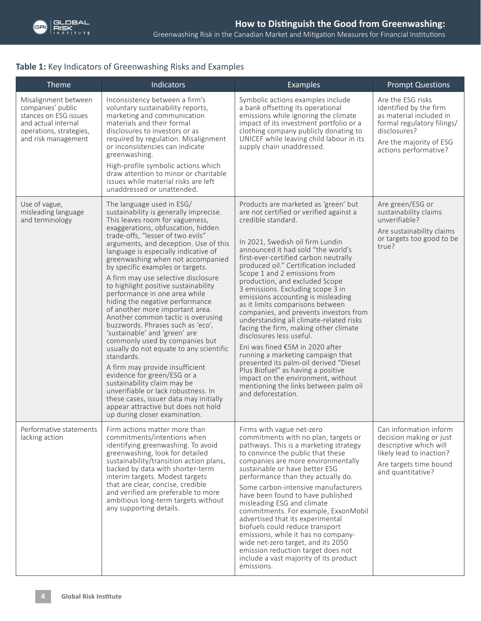# **Table 1:** Key Indicators of Greenwashing Risks and Examples

| Theme                                                                                                                                       | Indicators                                                                                                                                                                                                                                                                                                                                                                                                                                                                                                                                                                                                                                                                                                                                                                                                                                                                                                                                                                                         | <b>Examples</b>                                                                                                                                                                                                                                                                                                                                                                                                                                                                                                                                                                                                                                                                                                                                                                                                                                                           | <b>Prompt Questions</b>                                                                                                                                                  |
|---------------------------------------------------------------------------------------------------------------------------------------------|----------------------------------------------------------------------------------------------------------------------------------------------------------------------------------------------------------------------------------------------------------------------------------------------------------------------------------------------------------------------------------------------------------------------------------------------------------------------------------------------------------------------------------------------------------------------------------------------------------------------------------------------------------------------------------------------------------------------------------------------------------------------------------------------------------------------------------------------------------------------------------------------------------------------------------------------------------------------------------------------------|---------------------------------------------------------------------------------------------------------------------------------------------------------------------------------------------------------------------------------------------------------------------------------------------------------------------------------------------------------------------------------------------------------------------------------------------------------------------------------------------------------------------------------------------------------------------------------------------------------------------------------------------------------------------------------------------------------------------------------------------------------------------------------------------------------------------------------------------------------------------------|--------------------------------------------------------------------------------------------------------------------------------------------------------------------------|
| Misalignment between<br>companies' public<br>stances on ESG issues<br>and actual internal<br>operations, strategies,<br>and risk management | Inconsistency between a firm's<br>voluntary sustainability reports,<br>marketing and communication<br>materials and their formal<br>disclosures to investors or as<br>required by regulation. Misalignment<br>or inconsistencies can indicate<br>greenwashing.<br>High-profile symbolic actions which<br>draw attention to minor or charitable<br>issues while material risks are left<br>unaddressed or unattended.                                                                                                                                                                                                                                                                                                                                                                                                                                                                                                                                                                               | Symbolic actions examples include<br>a bank offsetting its operational<br>emissions while ignoring the climate<br>impact of its investment portfolio or a<br>clothing company publicly donating to<br>UNICEF while leaving child labour in its<br>supply chain unaddressed.                                                                                                                                                                                                                                                                                                                                                                                                                                                                                                                                                                                               | Are the ESG risks<br>identified by the firm<br>as material included in<br>formal regulatory filings/<br>disclosures?<br>Are the majority of ESG<br>actions performative? |
| Use of vague,<br>misleading language<br>and terminology                                                                                     | The language used in ESG/<br>sustainability is generally imprecise.<br>This leaves room for vagueness,<br>exaggerations, obfuscation, hidden<br>trade-offs, "lesser of two evils"<br>arguments, and deception. Use of this<br>language is especially indicative of<br>greenwashing when not accompanied<br>by specific examples or targets.<br>A firm may use selective disclosure<br>to highlight positive sustainability<br>performance in one area while<br>hiding the negative performance<br>of another more important area.<br>Another common tactic is overusing<br>buzzwords. Phrases such as 'eco',<br>'sustainable' and 'green' are<br>commonly used by companies but<br>usually do not equate to any scientific<br>standards.<br>A firm may provide insufficient<br>evidence for green/ESG or a<br>sustainability claim may be<br>unverifiable or lack robustness. In<br>these cases, issuer data may initially<br>appear attractive but does not hold<br>up during closer examination. | Products are marketed as 'green' but<br>are not certified or verified against a<br>credible standard.<br>In 2021, Swedish oil firm Lundin<br>announced it had sold "the world's<br>first-ever-certified carbon neutrally<br>produced oil." Certification included<br>Scope 1 and 2 emissions from<br>production, and excluded Scope<br>3 emissions. Excluding scope 3 in<br>emissions accounting is misleading<br>as it limits comparisons between<br>companies, and prevents investors from<br>understanding all climate-related risks<br>facing the firm, making other climate<br>disclosures less useful.<br>Eni was fined €5M in 2020 after<br>running a marketing campaign that<br>presented its palm-oil derived "Diesel<br>Plus Biofuel" as having a positive<br>impact on the environment, without<br>mentioning the links between palm oil<br>and deforestation. | Are green/ESG or<br>sustainability claims<br>unverifiable?<br>Are sustainability claims<br>or targets too good to be<br>true?                                            |
| Performative statements<br>lacking action                                                                                                   | Firm actions matter more than<br>commitments/intentions when<br>identifying greenwashing. To avoid<br>greenwashing, look for detailed<br>sustainability/transition action plans,<br>backed by data with shorter-term<br>interim targets. Modest targets<br>that are clear, concise, credible<br>and verified are preferable to more<br>ambitious long-term targets without<br>any supporting details.                                                                                                                                                                                                                                                                                                                                                                                                                                                                                                                                                                                              | Firms with vague net-zero<br>commitments with no plan, targets or<br>pathways. This is a marketing strategy<br>to convince the public that these<br>companies are more environmentally<br>sustainable or have better ESG<br>performance than they actually do.<br>Some carbon-intensive manufacturers<br>have been found to have published<br>misleading ESG and climate<br>commitments. For example, ExxonMobil<br>advertised that its experimental<br>biofuels could reduce transport<br>emissions, while it has no company-<br>wide net-zero target, and its 2050<br>emission reduction target does not<br>include a vast majority of its product<br>emissions.                                                                                                                                                                                                        | Can information inform<br>decision making or just<br>descriptive which will<br>likely lead to inaction?<br>Are targets time bound<br>and quantitative?                   |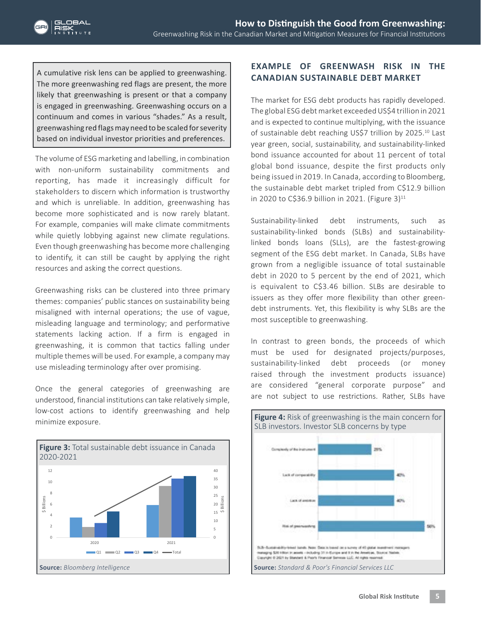A cumulative risk lens can be applied to greenwashing. The more greenwashing red flags are present, the more likely that greenwashing is present or that a company is engaged in greenwashing. Greenwashing occurs on a continuum and comes in various "shades." As a result, greenwashing red flags may need to be scaled for severity based on individual investor priorities and preferences.

The volume of ESG marketing and labelling, in combination with non-uniform sustainability commitments and reporting, has made it increasingly difficult for stakeholders to discern which information is trustworthy and which is unreliable. In addition, greenwashing has become more sophisticated and is now rarely blatant. For example, companies will make climate commitments while quietly lobbying against new climate regulations. Even though greenwashing has become more challenging to identify, it can still be caught by applying the right resources and asking the correct questions.

Greenwashing risks can be clustered into three primary themes: companies' public stances on sustainability being misaligned with internal operations; the use of vague, misleading language and terminology; and performative statements lacking action. If a firm is engaged in greenwashing, it is common that tactics falling under multiple themes will be used. For example, a company may use misleading terminology after over promising.

Once the general categories of greenwashing are understood, financial institutions can take relatively simple, low-cost actions to identify greenwashing and help minimize exposure.



## **EXAMPLE OF GREENWASH RISK IN THE CANADIAN SUSTAINABLE DEBT MARKET**

The market for ESG debt products has rapidly developed. The global ESG debt market exceeded US\$4 trillion in 2021 and is expected to continue multiplying, with the issuance of sustainable debt reaching US\$7 trillion by 2025.<sup>10</sup> Last year green, social, sustainability, and sustainability-linked bond issuance accounted for about 11 percent of total global bond issuance, despite the first products only being issued in 2019. In Canada, according to Bloomberg, the sustainable debt market tripled from C\$12.9 billion in 2020 to C\$36.9 billion in 2021. (Figure 3) $^{11}$ 

Sustainability-linked debt instruments, such as sustainability-linked bonds (SLBs) and sustainabilitylinked bonds loans (SLLs), are the fastest-growing segment of the ESG debt market. In Canada, SLBs have grown from a negligible issuance of total sustainable debt in 2020 to 5 percent by the end of 2021, which is equivalent to C\$3.46 billion. SLBs are desirable to issuers as they offer more flexibility than other greendebt instruments. Yet, this flexibility is why SLBs are the most susceptible to greenwashing.

In contrast to green bonds, the proceeds of which must be used for designated projects/purposes, sustainability-linked debt proceeds (or money raised through the investment products issuance) are considered "general corporate purpose" and are not subject to use restrictions. Rather, SLBs have

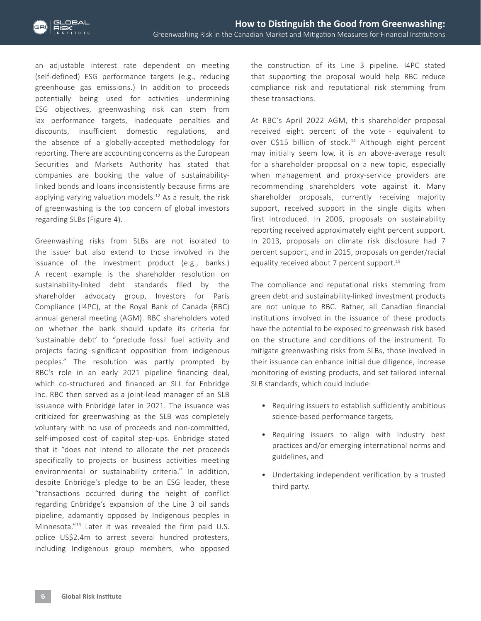an adjustable interest rate dependent on meeting (self-defined) ESG performance targets (e.g., reducing greenhouse gas emissions.) In addition to proceeds potentially being used for activities undermining ESG objectives, greenwashing risk can stem from lax performance targets, inadequate penalties and discounts, insufficient domestic regulations, and the absence of a globally-accepted methodology for reporting. There are accounting concerns as the European Securities and Markets Authority has stated that companies are booking the value of sustainabilitylinked bonds and loans inconsistently because firms are applying varying valuation models.<sup>12</sup> As a result, the risk of greenwashing is the top concern of global investors regarding SLBs (Figure 4).

Greenwashing risks from SLBs are not isolated to the issuer but also extend to those involved in the issuance of the investment product (e.g., banks.) A recent example is the shareholder resolution on sustainability-linked debt standards filed by the shareholder advocacy group, Investors for Paris Compliance (I4PC), at the Royal Bank of Canada (RBC) annual general meeting (AGM). RBC shareholders voted on whether the bank should update its criteria for 'sustainable debt' to "preclude fossil fuel activity and projects facing significant opposition from indigenous peoples." The resolution was partly prompted by RBC's role in an early 2021 pipeline financing deal, which co-structured and financed an SLL for Enbridge Inc. RBC then served as a joint-lead manager of an SLB issuance with Enbridge later in 2021. The issuance was criticized for greenwashing as the SLB was completely voluntary with no use of proceeds and non-committed, self-imposed cost of capital step-ups. Enbridge stated that it "does not intend to allocate the net proceeds specifically to projects or business activities meeting environmental or sustainability criteria." In addition, despite Enbridge's pledge to be an ESG leader, these "transactions occurred during the height of conflict regarding Enbridge's expansion of the Line 3 oil sands pipeline, adamantly opposed by Indigenous peoples in Minnesota."13 Later it was revealed the firm paid U.S. police US\$2.4m to arrest several hundred protesters, including Indigenous group members, who opposed

the construction of its Line 3 pipeline. I4PC stated that supporting the proposal would help RBC reduce compliance risk and reputational risk stemming from these transactions.

At RBC's April 2022 AGM, this shareholder proposal received eight percent of the vote - equivalent to over C\$15 billion of stock.<sup>14</sup> Although eight percent may initially seem low, it is an above-average result for a shareholder proposal on a new topic, especially when management and proxy-service providers are recommending shareholders vote against it. Many shareholder proposals, currently receiving majority support, received support in the single digits when first introduced. In 2006, proposals on sustainability reporting received approximately eight percent support. In 2013, proposals on climate risk disclosure had 7 percent support, and in 2015, proposals on gender/racial equality received about 7 percent support.<sup>15</sup>

The compliance and reputational risks stemming from green debt and sustainability-linked investment products are not unique to RBC. Rather, all Canadian financial institutions involved in the issuance of these products have the potential to be exposed to greenwash risk based on the structure and conditions of the instrument. To mitigate greenwashing risks from SLBs, those involved in their issuance can enhance initial due diligence, increase monitoring of existing products, and set tailored internal SLB standards, which could include:

- Requiring issuers to establish sufficiently ambitious science-based performance targets,
- Requiring issuers to align with industry best practices and/or emerging international norms and guidelines, and
- Undertaking independent verification by a trusted third party.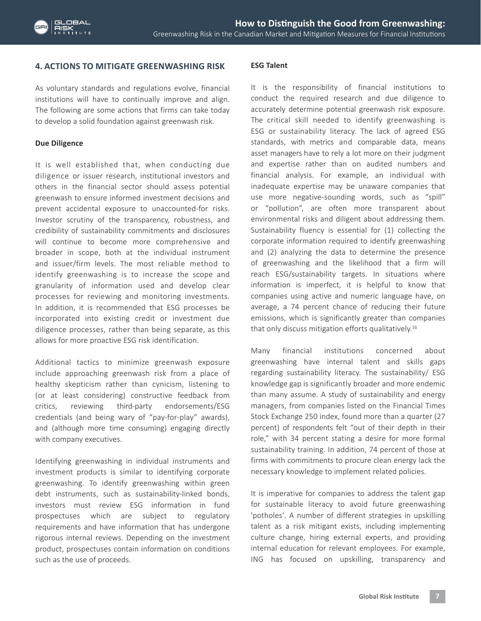## **4. ACTIONS TO MITIGATE GREENWASHING RISK**

As voluntary standards and regulations evolve, financial institutions will have to continually improve and align. The following are some actions that firms can take today to develop a solid foundation against greenwash risk.

## **Due Diligence**

It is well established that, when conducting due diligence or issuer research, institutional investors and others in the financial sector should assess potential greenwash to ensure informed investment decisions and prevent accidental exposure to unaccounted-for risks. Investor scrutiny of the transparency, robustness, and credibility of sustainability commitments and disclosures will continue to become more comprehensive and broader in scope, both at the individual instrument and issuer/firm levels. The most reliable method to identify greenwashing is to increase the scope and granularity of information used and develop clear processes for reviewing and monitoring investments. In addition, it is recommended that ESG processes be incorporated into existing credit or investment due diligence processes, rather than being separate, as this allows for more proactive ESG risk identification.

Additional tactics to minimize greenwash exposure include approaching greenwash risk from a place of healthy skepticism rather than cynicism, listening to (or at least considering) constructive feedback from critics, reviewing third-party endorsements/ESG credentials (and being wary of "pay-for-play" awards), and (although more time consuming) engaging directly with company executives.

Identifying greenwashing in individual instruments and investment products is similar to identifying corporate greenwashing. To identify greenwashing within green debt instruments, such as sustainability-linked bonds, investors must review ESG information in fund prospectuses which are subject to regulatory requirements and have information that has undergone rigorous internal reviews. Depending on the investment product, prospectuses contain information on conditions such as the use of proceeds.

## **ESG Talent**

It is the responsibility of financial institutions to conduct the required research and due diligence to accurately determine potential greenwash risk exposure. The critical skill needed to identify greenwashing is ESG or sustainability literacy. The lack of agreed ESG standards, with metrics and comparable data, means asset managers have to rely a lot more on their judgment and expertise rather than on audited numbers and financial analysis. For example, an individual with inadequate expertise may be unaware companies that use more negative-sounding words, such as "spill" or "pollution", are often more transparent about environmental risks and diligent about addressing them. Sustainability fluency is essential for (1) collecting the corporate information required to identify greenwashing and (2) analyzing the data to determine the presence of greenwashing and the likelihood that a firm will reach ESG/sustainability targets. In situations where information is imperfect, it is helpful to know that companies using active and numeric language have, on average, a 74 percent chance of reducing their future emissions, which is significantly greater than companies that only discuss mitigation efforts qualitatively.<sup>16</sup>

Many financial institutions concerned about greenwashing have internal talent and skills gaps regarding sustainability literacy. The sustainability/ ESG knowledge gap is significantly broader and more endemic than many assume. A study of sustainability and energy managers, from companies listed on the Financial Times Stock Exchange 250 index, found more than a quarter (27 percent) of respondents felt "out of their depth in their role," with 34 percent stating a desire for more formal sustainability training. In addition, 74 percent of those at firms with commitments to procure clean energy lack the necessary knowledge to implement related policies.

It is imperative for companies to address the talent gap for sustainable literacy to avoid future greenwashing 'potholes'. A number of different strategies in upskilling talent as a risk mitigant exists, including implementing culture change, hiring external experts, and providing internal education for relevant employees. For example, ING has focused on upskilling, transparency and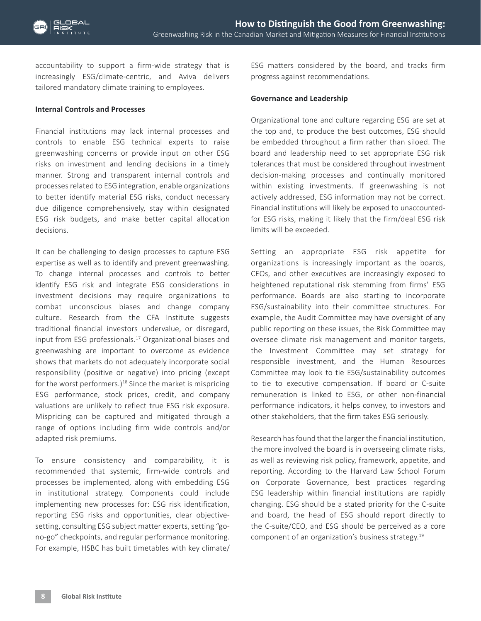accountability to support a firm-wide strategy that is increasingly ESG/climate-centric, and Aviva delivers tailored mandatory climate training to employees.

#### **Internal Controls and Processes**

Financial institutions may lack internal processes and controls to enable ESG technical experts to raise greenwashing concerns or provide input on other ESG risks on investment and lending decisions in a timely manner. Strong and transparent internal controls and processes related to ESG integration, enable organizations to better identify material ESG risks, conduct necessary due diligence comprehensively, stay within designated ESG risk budgets, and make better capital allocation decisions.

It can be challenging to design processes to capture ESG expertise as well as to identify and prevent greenwashing. To change internal processes and controls to better identify ESG risk and integrate ESG considerations in investment decisions may require organizations to combat unconscious biases and change company culture. Research from the CFA Institute suggests traditional financial investors undervalue, or disregard, input from ESG professionals.17 Organizational biases and greenwashing are important to overcome as evidence shows that markets do not adequately incorporate social responsibility (positive or negative) into pricing (except for the worst performers.)<sup>18</sup> Since the market is mispricing ESG performance, stock prices, credit, and company valuations are unlikely to reflect true ESG risk exposure. Mispricing can be captured and mitigated through a range of options including firm wide controls and/or adapted risk premiums.

To ensure consistency and comparability, it is recommended that systemic, firm-wide controls and processes be implemented, along with embedding ESG in institutional strategy. Components could include implementing new processes for: ESG risk identification, reporting ESG risks and opportunities, clear objectivesetting, consulting ESG subject matter experts, setting "gono-go" checkpoints, and regular performance monitoring. For example, HSBC has built timetables with key climate/ ESG matters considered by the board, and tracks firm progress against recommendations.

#### **Governance and Leadership**

Organizational tone and culture regarding ESG are set at the top and, to produce the best outcomes, ESG should be embedded throughout a firm rather than siloed. The board and leadership need to set appropriate ESG risk tolerances that must be considered throughout investment decision-making processes and continually monitored within existing investments. If greenwashing is not actively addressed, ESG information may not be correct. Financial institutions will likely be exposed to unaccountedfor ESG risks, making it likely that the firm/deal ESG risk limits will be exceeded.

Setting an appropriate ESG risk appetite for organizations is increasingly important as the boards, CEOs, and other executives are increasingly exposed to heightened reputational risk stemming from firms' ESG performance. Boards are also starting to incorporate ESG/sustainability into their committee structures. For example, the Audit Committee may have oversight of any public reporting on these issues, the Risk Committee may oversee climate risk management and monitor targets, the Investment Committee may set strategy for responsible investment, and the Human Resources Committee may look to tie ESG/sustainability outcomes to tie to executive compensation. If board or C-suite remuneration is linked to ESG, or other non-financial performance indicators, it helps convey, to investors and other stakeholders, that the firm takes ESG seriously.

Research has found that the larger the financial institution, the more involved the board is in overseeing climate risks, as well as reviewing risk policy, framework, appetite, and reporting. According to the Harvard Law School Forum on Corporate Governance, best practices regarding ESG leadership within financial institutions are rapidly changing. ESG should be a stated priority for the C-suite and board, the head of ESG should report directly to the C-suite/CEO, and ESG should be perceived as a core component of an organization's business strategy.19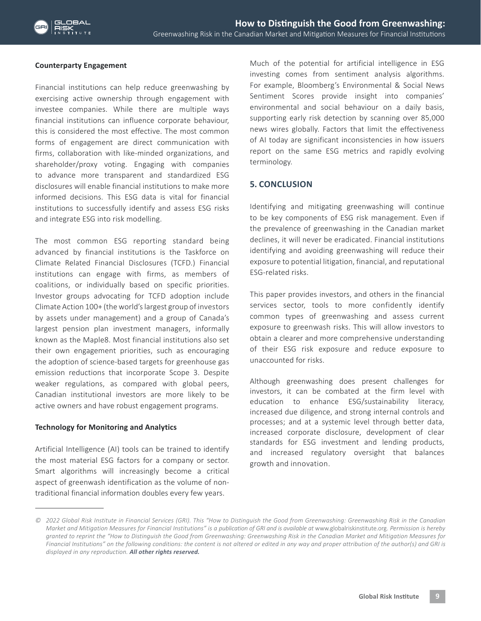## **Counterparty Engagement**

Financial institutions can help reduce greenwashing by exercising active ownership through engagement with investee companies. While there are multiple ways financial institutions can influence corporate behaviour, this is considered the most effective. The most common forms of engagement are direct communication with firms, collaboration with like-minded organizations, and shareholder/proxy voting. Engaging with companies to advance more transparent and standardized ESG disclosures will enable financial institutions to make more informed decisions. This ESG data is vital for financial institutions to successfully identify and assess ESG risks and integrate ESG into risk modelling.

The most common ESG reporting standard being advanced by financial institutions is the Taskforce on Climate Related Financial Disclosures (TCFD.) Financial institutions can engage with firms, as members of coalitions, or individually based on specific priorities. Investor groups advocating for TCFD adoption include Climate Action 100+ (the world's largest group of investors by assets under management) and a group of Canada's largest pension plan investment managers, informally known as the Maple8. Most financial institutions also set their own engagement priorities, such as encouraging the adoption of science-based targets for greenhouse gas emission reductions that incorporate Scope 3. Despite weaker regulations, as compared with global peers, Canadian institutional investors are more likely to be active owners and have robust engagement programs.

## **Technology for Monitoring and Analytics**

Artificial Intelligence (AI) tools can be trained to identify the most material ESG factors for a company or sector. Smart algorithms will increasingly become a critical aspect of greenwash identification as the volume of nontraditional financial information doubles every few years.

Much of the potential for artificial intelligence in ESG investing comes from sentiment analysis algorithms. For example, Bloomberg's Environmental & Social News Sentiment Scores provide insight into companies' environmental and social behaviour on a daily basis, supporting early risk detection by scanning over 85,000 news wires globally. Factors that limit the effectiveness of AI today are significant inconsistencies in how issuers report on the same ESG metrics and rapidly evolving terminology.

## **5. CONCLUSION**

Identifying and mitigating greenwashing will continue to be key components of ESG risk management. Even if the prevalence of greenwashing in the Canadian market declines, it will never be eradicated. Financial institutions identifying and avoiding greenwashing will reduce their exposure to potential litigation, financial, and reputational ESG-related risks.

This paper provides investors, and others in the financial services sector, tools to more confidently identify common types of greenwashing and assess current exposure to greenwash risks. This will allow investors to obtain a clearer and more comprehensive understanding of their ESG risk exposure and reduce exposure to unaccounted for risks.

Although greenwashing does present challenges for investors, it can be combated at the firm level with education to enhance ESG/sustainability literacy, increased due diligence, and strong internal controls and processes; and at a systemic level through better data, increased corporate disclosure, development of clear standards for ESG investment and lending products, and increased regulatory oversight that balances growth and innovation.

*<sup>©</sup> 2022 Global Risk Institute in Financial Services (GRI). This "How to Distinguish the Good from Greenwashing: Greenwashing Risk in the Canadian Market and Mitigation Measures for Financial Institutions" is a publication of GRI and is available at www.globalriskinstitute.org. Permission is hereby granted to reprint the "How to Distinguish the Good from Greenwashing: Greenwashing Risk in the Canadian Market and Mitigation Measures for Financial Institutions" on the following conditions: the content is not altered or edited in any way and proper attribution of the author(s) and GRI is displayed in any reproduction. All other rights reserved.*